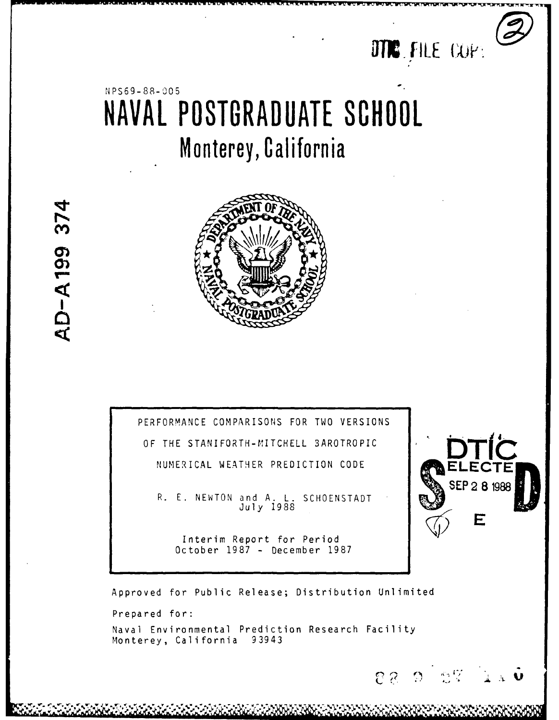

**S 2 8 1988 UEP** 

F

**C** ( ,,., . - **., - , . . ... ,; .**

# N PS69- 88- **'** 05 **NAVAL POSTGRADUATE SCHOOL** Monterey, California

**r~, nsn .L wan Nwr WIW r~WVW WUUUI~T~flCtflL IU.j WM WV WT W.** ru <sup>p</sup>**U** *.U Wr*



AD-A199 374

PERFORMANCE COMPARISONS FOR TWO VERSIONS OF THE STANIFORTH-MITCHELL 3AROTROPIC NUMERICAL WEATHER PREDICTION CODE

R. E. NEWTON and A. L. SCHOENSTADT<br>July 1988

Interim Report for Period October 1987 - December 1987



Naval Environmental Prediction Research Facility Monterey, California 93943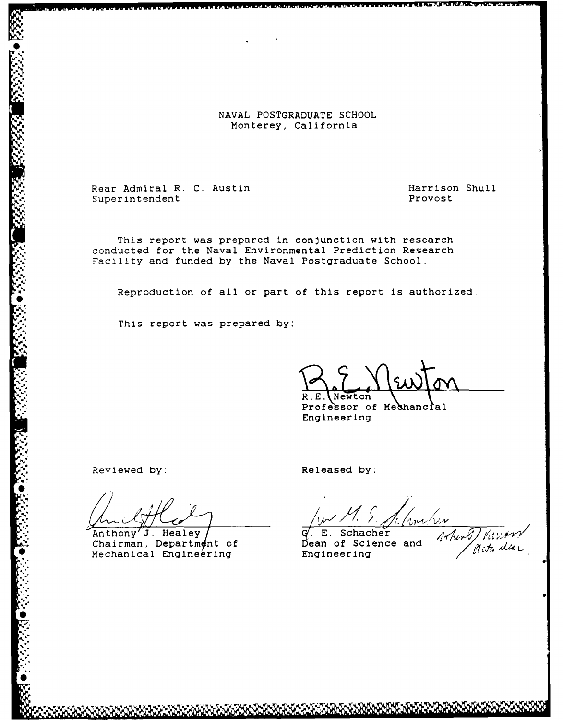[ **NAVAL POSTGRADUATE SCHOOL** NAVAL POSTGRADUATE SCH

SRear Admiral R. **C.** Austin Harrison Shull ear Admiral R. C. Austin – Henry Provost – Provost – Provost<br>Superintendent – Provost – Provost

This report was prepared in conjunction with research **•** conducted for the Naval Environmental Prediction Research Facility and funded by the Naval Postgraduate School.

Reproduction of all or part of this report is authorized.

This report was prepared by:

 $R.E.\$  Newton

Professor of Medhancial<br>Engineering

Reviewed by: **Released by: Released by:** 

**S -** .

**\* S**

Anthony<sup>'</sup>J. Healey / G. E. Schacher Chairman, Department of **Dean of Science and** Anthony J. Healey  $\overline{q}$ . E. Schacher<br>Chairman, Department of Dean of Science and *Artholical Engineering* Engineering *Act, dat*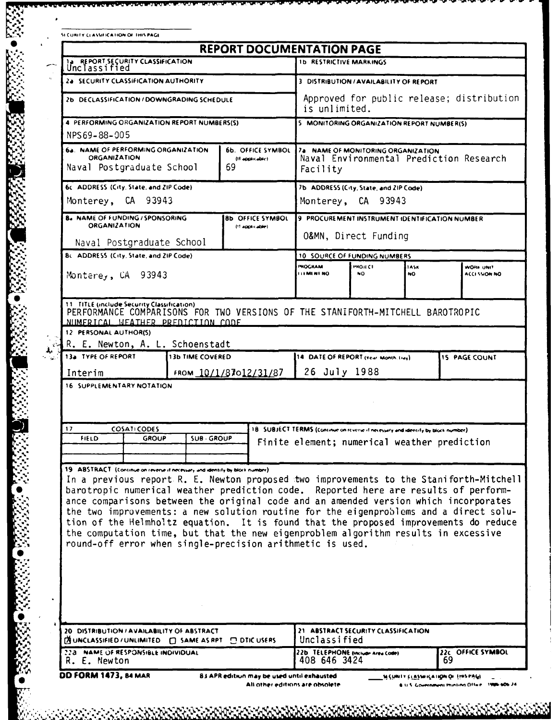| A CURITY CLASSIFICATION OF THIS PAGE |  |  |  |
|--------------------------------------|--|--|--|

 $-3333$ 

**1999年1月1日 1月18日 1月18日 1月18日 1月18日 1月18日 1月18日 1月18日 1月18日 1月18日 1月18日 1月18日 1月18日 1月18日 1月18日 1月18日 1月18日 1月18日 1月18日 1月18日 1月18日 1月18日 1月18日 1月18日 1月18日 1月18日 1月18日 1月18日 1月18日 1月18日 1月18日 1月18日 1月18日 1月18日 1月18日 1月18日** 

203333

ZO RAZARA BARRA

|  | <b>REPORT DOCUMENTATION PAGE</b> |  |
|--|----------------------------------|--|

|                                                                                                                                        |                                                                             |              |                  | <b>REPORT DOCUMENTATION PAGE</b>                                                                                                                                                                                                                                                                                                                                                                                                                                                                                                                                                                          |                                                                                                                                    |                                            |                   |  |                                   |
|----------------------------------------------------------------------------------------------------------------------------------------|-----------------------------------------------------------------------------|--------------|------------------|-----------------------------------------------------------------------------------------------------------------------------------------------------------------------------------------------------------------------------------------------------------------------------------------------------------------------------------------------------------------------------------------------------------------------------------------------------------------------------------------------------------------------------------------------------------------------------------------------------------|------------------------------------------------------------------------------------------------------------------------------------|--------------------------------------------|-------------------|--|-----------------------------------|
|                                                                                                                                        | 14 REPORT SECURITY CLASSIFICATION                                           |              |                  |                                                                                                                                                                                                                                                                                                                                                                                                                                                                                                                                                                                                           |                                                                                                                                    | <b>1b RESTRICTIVE MARKINGS</b>             |                   |  |                                   |
|                                                                                                                                        | 2a SECURITY CLASSIFICATION AUTHORITY                                        |              |                  | 3 DISTRIBUTION / AVAILABILITY OF REPORT                                                                                                                                                                                                                                                                                                                                                                                                                                                                                                                                                                   |                                                                                                                                    |                                            |                   |  |                                   |
|                                                                                                                                        | 2b DECLASSIFICATION / DOWNGRADING SCHEDULE                                  |              |                  | Approved for public release; distribution<br>is unlimited.                                                                                                                                                                                                                                                                                                                                                                                                                                                                                                                                                |                                                                                                                                    |                                            |                   |  |                                   |
|                                                                                                                                        | 4 PERFORMING ORGANIZATION REPORT NUMBERS(S)                                 |              |                  |                                                                                                                                                                                                                                                                                                                                                                                                                                                                                                                                                                                                           |                                                                                                                                    | 5 MONITORING ORGANIZATION REPORT NUMBER(S) |                   |  |                                   |
| NPS69-88-005                                                                                                                           |                                                                             |              |                  |                                                                                                                                                                                                                                                                                                                                                                                                                                                                                                                                                                                                           |                                                                                                                                    |                                            |                   |  |                                   |
| 6a. NAME OF PERFORMING ORGANIZATION<br>6b. OFFICE SYMBOL<br><b>ORGANIZATION</b><br>(If applicable).<br>69<br>Naval Postgraduate School |                                                                             |              |                  |                                                                                                                                                                                                                                                                                                                                                                                                                                                                                                                                                                                                           | 7a NAME OF MONITORING ORGANIZATION<br>Naval Environmental Prediction Research<br>Facility                                          |                                            |                   |  |                                   |
|                                                                                                                                        | 6c. ADDRESS (City, State, and ZIP Code).                                    |              |                  |                                                                                                                                                                                                                                                                                                                                                                                                                                                                                                                                                                                                           | 7b ADDRESS (City, State, and ZIP Code)                                                                                             |                                            |                   |  |                                   |
|                                                                                                                                        | Monterey, CA 93943                                                          |              |                  |                                                                                                                                                                                                                                                                                                                                                                                                                                                                                                                                                                                                           | Monterey, CA 93943                                                                                                                 |                                            |                   |  |                                   |
|                                                                                                                                        | <b>B. NAME OF FUNDING / SPONSORING</b><br><b>ORGANIZATION</b>               |              |                  | <b>8b OFFICE SYMBOL</b>                                                                                                                                                                                                                                                                                                                                                                                                                                                                                                                                                                                   | 9 PROCUREMENT INSTRUMENT IDENTIFICATION NUMBER                                                                                     |                                            |                   |  |                                   |
|                                                                                                                                        | Naval Postgraduate School                                                   |              |                  | (!! applicable)                                                                                                                                                                                                                                                                                                                                                                                                                                                                                                                                                                                           | 0&MN, Direct Funding                                                                                                               |                                            |                   |  |                                   |
|                                                                                                                                        | 8c. ADDRESS (City, State, and ZIP Code).                                    |              |                  |                                                                                                                                                                                                                                                                                                                                                                                                                                                                                                                                                                                                           | 10 SOURCE OF FUNDING NUMBERS                                                                                                       |                                            |                   |  |                                   |
|                                                                                                                                        |                                                                             |              |                  |                                                                                                                                                                                                                                                                                                                                                                                                                                                                                                                                                                                                           | <b>PHOGRAM</b><br><b>LEMENT NO</b>                                                                                                 | <b>PROJECT</b><br>NO.                      | <b>ASK</b><br>NO. |  | WORK UNIT<br><b>ACCI SSION NO</b> |
|                                                                                                                                        | Monterey, CA 93943                                                          |              |                  |                                                                                                                                                                                                                                                                                                                                                                                                                                                                                                                                                                                                           |                                                                                                                                    |                                            |                   |  |                                   |
|                                                                                                                                        |                                                                             |              |                  |                                                                                                                                                                                                                                                                                                                                                                                                                                                                                                                                                                                                           |                                                                                                                                    |                                            |                   |  |                                   |
| 13a TYPE OF REPORT<br>Interim                                                                                                          | R. E. Newton, A. L. Schoenstadt<br>16 SUPPLEMENTARY NOTATION                |              | 13b TIME COVERED | FROM 10/1/87012/31/87                                                                                                                                                                                                                                                                                                                                                                                                                                                                                                                                                                                     | 14 DATE OF REPORT (Year Month Link)<br>26 July 1988                                                                                |                                            |                   |  | <b>15 PAGE COUNT</b>              |
| 17<br><b>FIELD</b>                                                                                                                     | <b>COSATICODES</b>                                                          | <b>GROUP</b> | <b>SUB GROUP</b> |                                                                                                                                                                                                                                                                                                                                                                                                                                                                                                                                                                                                           | 18. SUBJECT TERMS (continue on reverse if necessary and identify by block number).<br>Finite element; numerical weather prediction |                                            |                   |  |                                   |
|                                                                                                                                        | 19 ABSTRACT (Continue on reverse it necessary and identify by block number) |              |                  | In a previous report R. E. Newton proposed two improvements to the Staniforth-Mitchell<br>barotropic numerical weather prediction code. Reported here are results of perform-<br>ance comparisons between the original code and an amended version which incorporates<br>the two improvements: a new solution routine for the eigenproblems and a direct solu-<br>tion of the Helmholtz equation. It is found that the proposed improvements do reduce<br>the computation time, but that the new eigenproblem algorithm results in excessive<br>round-off error when single-precision arithmetic is used. |                                                                                                                                    |                                            |                   |  |                                   |
|                                                                                                                                        | 20 DISTRIBUTION / AVAILABILITY OF ABSTRACT                                  |              |                  | <b>DELASSIFIED/UNLIMITED</b> □ SAME AS RPT □ DTIC USERS                                                                                                                                                                                                                                                                                                                                                                                                                                                                                                                                                   | 21 ABSTRACT SECURITY CLASSIFICATION<br>Unclassified                                                                                |                                            |                   |  |                                   |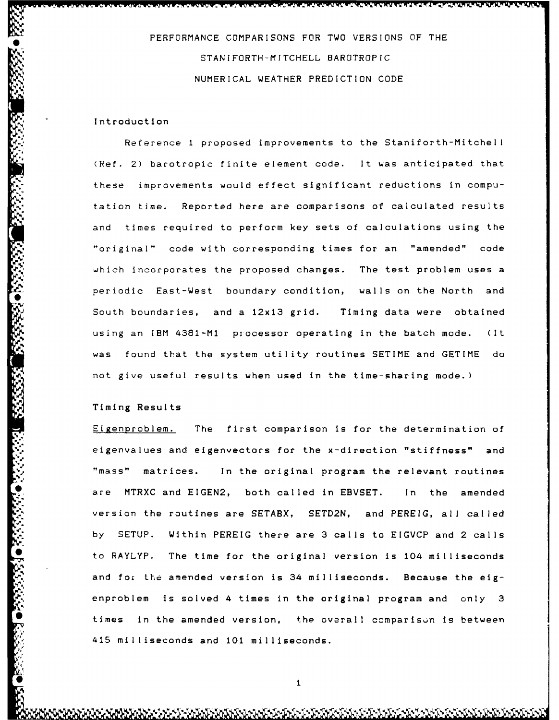PERFORMANCE COMPARISONS FOR TWO VERSIONS OF THE STANIFORTH-MITCHELL BAROTROPIC NUMERICAL WEATHER PREDICTION CODE

<u>ata ata ata an amin'ny fivondronan-kaominin'i Communistra (</u>

# Introduction

Reference 1 proposed improvements to the Staniforth-Mitchell (Ref. 2) barotropic finite element code. It was anticipated that these improvements would effect significant reductions in computation time. Reported here are comparisons of calculated results and times required to perform key sets of calculations using the "original" code with corresponding times for an "amended" code which incorporates the proposed changes. The test problem uses a periodic East-West boundary condition, walls on the North and South boundaries, and a 12x13 grid. Timing data were obtained using an IBM 4381-MI processor operating in the batch mode. (It was found that the system utility routines SETIME and GETIME do not give useful results when used in the time-sharing mode.)

# Timing Results

Eigenproblem. The first comparison is for the determination of eigenvalues and eigenvectors for the x-direction "stiffness" and "mass" matrices. In the original program the relevant routines are MTRXC and EIGEN2, both called in EBVSET. In the amended version the routines are SETABX, SETD2N, and PEREIG, all called by SETUP. Within PEREIG there are **3** calls to EIGVCP and 2 calls 6 to RAYLYP. The time for the original version is 104 milliseconds and for the amended version is  $34$  milliseconds. Because the eigenproblem is solved 4 times in the original program and only 3 times in the amended version, the overall comparison is between 415 milliseconds and **101** milliseconds.

\* 1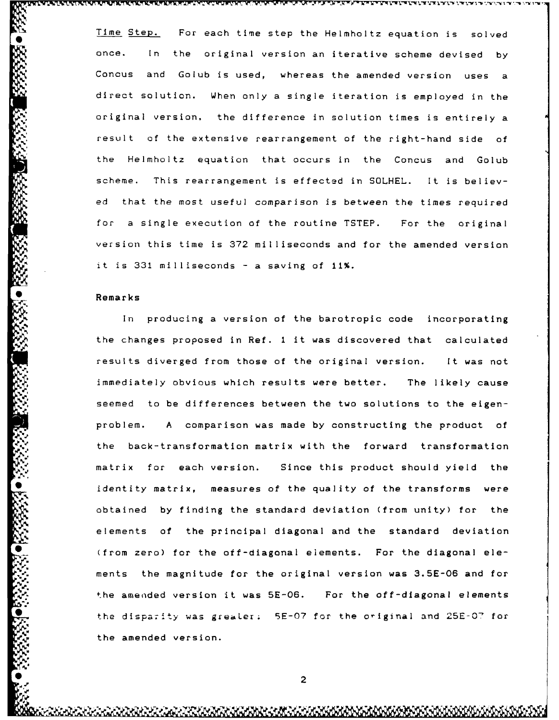Time Step. For each time step the Helmholtz equation is solved once. In the original version an iterative scheme devised **by** Concus and Golub is used, whereas the amended version uses a direct solution. When only a single iteration is employed in the original version, the difference in solution times is entirely a result **of** the extensive rearrangement of the right-hand side of the Helmholtz equation that occurs in the Concus and Golub scheme. This rearrangement is effected in SOLHEL. It is believed that the most useful comparison is between the times required for a single execution of the routine TSTEP. For the original version this time is 372 milliseconds and for the amended version it is **331** milliseconds - a saving of 11%.

xj \_VIIL- V ~ 1 -rXr"%NT **7. -1.V\_1%** I-rFIF1W -V *X P* **- J. ).- I- -. V LY W\_\_1 V-IW \_**

#### Remarks

**'I,**

In producing a version of the barotropic code incorporating the changes proposed in Ref. 1 it was discovered that calculated results diverged from those of the original version. It was not immediately obvious which results were better. The likely cause seemed to be differences between the two solutions to the eigenproblem. A comparison was made by constructing the product of the back-transformation matrix with the forward transformation matrix for each version. Since this product should yield the identity matrix, measures of the quality of the transforms were obtained by finding the standard deviation (from unity) for the elements of the principal diagonal and the standard deviation (from zero) for the off-diagonal elements. For the diagonal elements the magnitude for the original version was 3.5E-06 and for the amended version it was 5E-06. For the off-diagonal elements the disparity was grealer; 5E-07 for the original and 25E-07 for the amended version.

2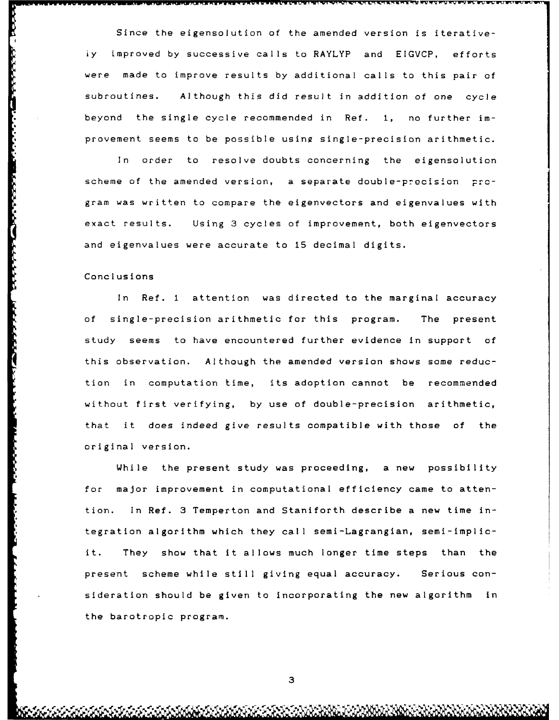Since the eigensolution of the amended version is iterativeiy improved **by** successive calls to RAYLYP and **EIGVCP,** efforts were made to improve results by additional calls to this pair of subroutines. Although this did result in addition of one cycle beyond the single cycle recommended in Ref. **1,** no further improvement seems to be possible using single-precision arithmetic.

In order to resolve doubts concerning the eigensolution scheme of the amended version, a separate double-precision program was written to compare the eigenvectors and eigenvalues with exact results. Using **3** cycles of improvement, both eigenvectors and eigenvalues were accurate to 15 decimal digits.

### Conclusions

In Ref. 1 attention was directed to the marginal accuracy of single-precision arithmetic for this program. The present study seems to have encountered further evidence In support of this observation. Although the amended version shows some reduction in computation time, its adoption cannot be recommended without first verifying, by use of double-precision arithmetic, that it does indeed give results compatible with those of the original version.

While the present study was proceeding, a new possibility for major improvement in computational efficiency came to attention. In Ref. **3** Temperton and Staniforth describe a new time integration algorithm which they call semi-Lagrangian, semi-Implicit. They show that it allows much longer time steps than the present scheme while still giving equal accuracy. Serious consideration should be given to incorporating the new algorithm in the barotropic program.

**3**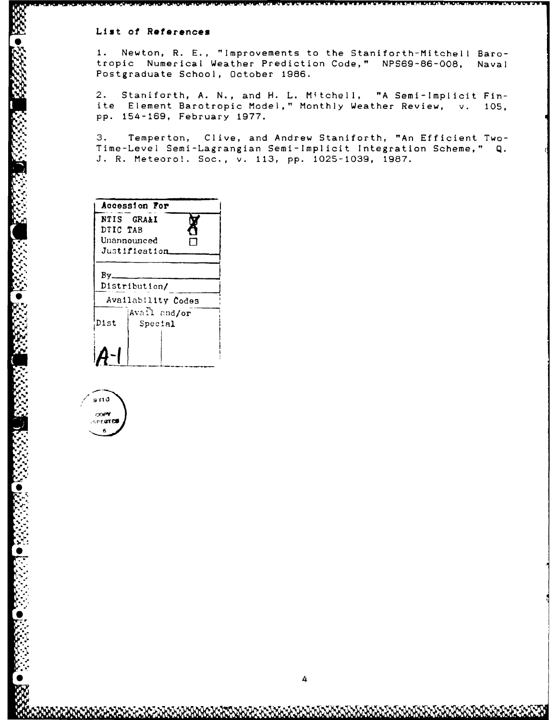## List of References

 $1.$ Newton, R. E., "Improvements to the Staniforth-Mitchell Barotropic Numerical Weather Prediction Code," NPS69-86-008, Naval Postgraduate School, October 1986.

 $2.$ Staniforth, A. N., and H. L. Mitchell, "A Semi-Implicit Finite Element Barotropic Model," Monthly Weather Review, v. 105, pp. 154-169, February 1977.

 $3.$ Temperton, Clive, and Andrew Staniforth, "An Efficient Two-Time-Level Semi-Lagrangian Semi-Implicit Integration Scheme," Q. J. R. Meteoro!. Soc., v. 113, pp. 1025-1039, 1987.

|          | Accession For           |
|----------|-------------------------|
| DTIC TAB | NTIS GRA&I              |
|          | Unannounced             |
|          | Justification           |
| Bv.      |                         |
|          | Distribution/           |
|          | Availability Codes      |
| Dist     | Avall and/or<br>Special |
|          |                         |
|          |                         |